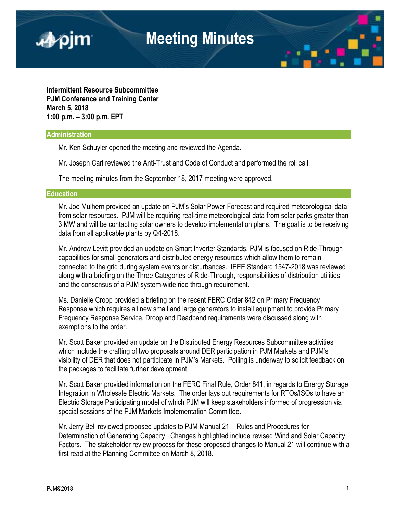

**Intermittent Resource Subcommittee PJM Conference and Training Center March 5, 2018 1:00 p.m. – 3:00 p.m. EPT**

## **Administration**

Mr. Ken Schuyler opened the meeting and reviewed the Agenda.

Mr. Joseph Carl reviewed the Anti-Trust and Code of Conduct and performed the roll call.

The meeting minutes from the September 18, 2017 meeting were approved.

## **Education**

Mr. Joe Mulhern provided an update on PJM's Solar Power Forecast and required meteorological data from solar resources. PJM will be requiring real-time meteorological data from solar parks greater than 3 MW and will be contacting solar owners to develop implementation plans. The goal is to be receiving data from all applicable plants by Q4-2018.

Mr. Andrew Levitt provided an update on Smart Inverter Standards. PJM is focused on Ride-Through capabilities for small generators and distributed energy resources which allow them to remain connected to the grid during system events or disturbances. IEEE Standard 1547-2018 was reviewed along with a briefing on the Three Categories of Ride-Through, responsibilities of distribution utilities and the consensus of a PJM system-wide ride through requirement.

Ms. Danielle Croop provided a briefing on the recent FERC Order 842 on Primary Frequency Response which requires all new small and large generators to install equipment to provide Primary Frequency Response Service. Droop and Deadband requirements were discussed along with exemptions to the order.

Mr. Scott Baker provided an update on the Distributed Energy Resources Subcommittee activities which include the crafting of two proposals around DER participation in PJM Markets and PJM's visibility of DER that does not participate in PJM's Markets. Polling is underway to solicit feedback on the packages to facilitate further development.

Mr. Scott Baker provided information on the FERC Final Rule, Order 841, in regards to Energy Storage Integration in Wholesale Electric Markets. The order lays out requirements for RTOs/ISOs to have an Electric Storage Participating model of which PJM will keep stakeholders informed of progression via special sessions of the PJM Markets Implementation Committee.

Mr. Jerry Bell reviewed proposed updates to PJM Manual 21 – Rules and Procedures for Determination of Generating Capacity. Changes highlighted include revised Wind and Solar Capacity Factors. The stakeholder review process for these proposed changes to Manual 21 will continue with a first read at the Planning Committee on March 8, 2018.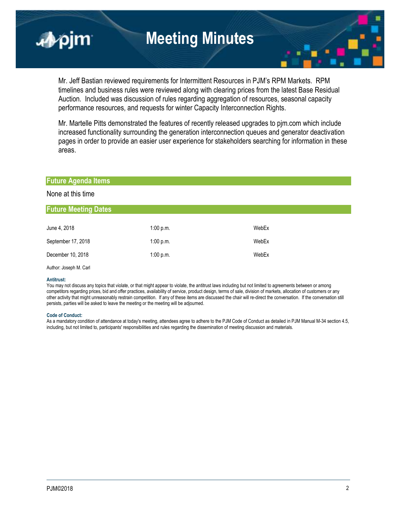

Mr. Jeff Bastian reviewed requirements for Intermittent Resources in PJM's RPM Markets. RPM timelines and business rules were reviewed along with clearing prices from the latest Base Residual Auction. Included was discussion of rules regarding aggregation of resources, seasonal capacity performance resources, and requests for winter Capacity Interconnection Rights.

Mr. Martelle Pitts demonstrated the features of recently released upgrades to pjm.com which include increased functionality surrounding the generation interconnection queues and generator deactivation pages in order to provide an easier user experience for stakeholders searching for information in these areas.

## **Future Agenda Items**

## None at this time

## **Future Meeting Dates**

| June 4, 2018       | 1:00 p.m. | WebEx |
|--------------------|-----------|-------|
| September 17, 2018 | 1:00 p.m. | WebEx |
| December 10, 2018  | 1:00 p.m. | WebEx |

Author: Joseph M. Carl

### **Antitrust:**

You may not discuss any topics that violate, or that might appear to violate, the antitrust laws including but not limited to agreements between or among competitors regarding prices, bid and offer practices, availability of service, product design, terms of sale, division of markets, allocation of customers or any other activity that might unreasonably restrain competition. If any of these items are discussed the chair will re-direct the conversation. If the conversation still persists, parties will be asked to leave the meeting or the meeting will be adjourned.

#### **Code of Conduct:**

As a mandatory condition of attendance at today's meeting, attendees agree to adhere to the PJM Code of Conduct as detailed in PJM Manual M-34 section 4.5, including, but not limited to, participants' responsibilities and rules regarding the dissemination of meeting discussion and materials.